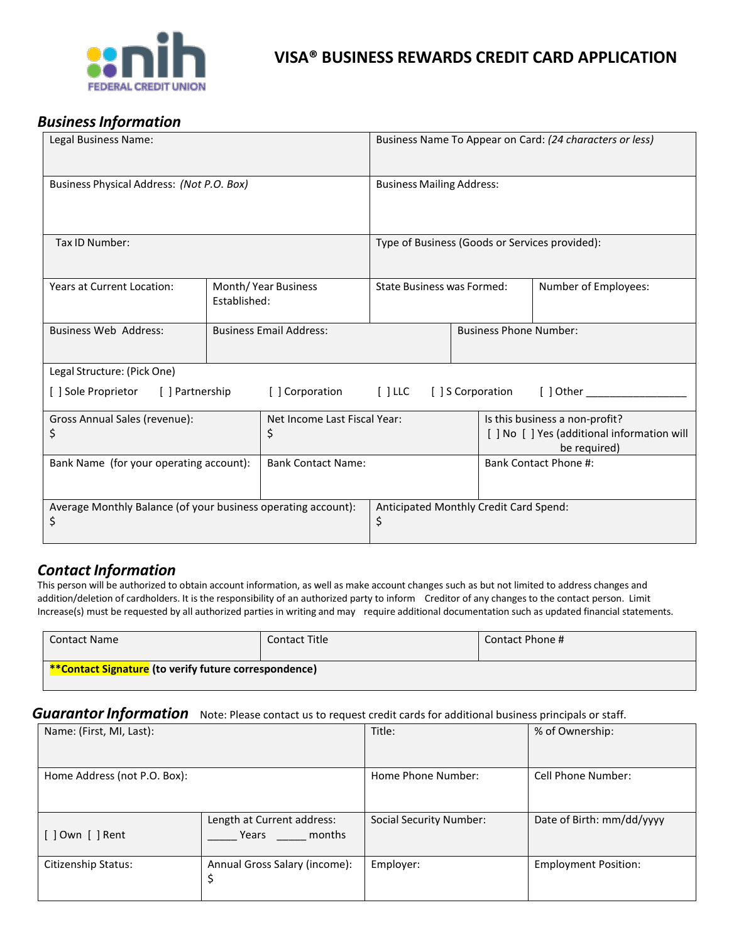

## *BusinessInformation*

| Legal Business Name:                                                                                                      |                                     |                                              | Business Name To Appear on Card: (24 characters or less) |  |                                                                                             |                      |  |
|---------------------------------------------------------------------------------------------------------------------------|-------------------------------------|----------------------------------------------|----------------------------------------------------------|--|---------------------------------------------------------------------------------------------|----------------------|--|
| Business Physical Address: (Not P.O. Box)                                                                                 |                                     | <b>Business Mailing Address:</b>             |                                                          |  |                                                                                             |                      |  |
| Tax ID Number:                                                                                                            |                                     |                                              | Type of Business (Goods or Services provided):           |  |                                                                                             |                      |  |
| Years at Current Location:                                                                                                | Month/Year Business<br>Established: |                                              | State Business was Formed:                               |  |                                                                                             | Number of Employees: |  |
| <b>Business Web Address:</b>                                                                                              |                                     | <b>Business Email Address:</b>               |                                                          |  | <b>Business Phone Number:</b>                                                               |                      |  |
| Legal Structure: (Pick One)                                                                                               |                                     |                                              |                                                          |  |                                                                                             |                      |  |
| [ ] LLC [ ] S Corporation<br>[ ] Sole Proprietor<br>[ ] Partnership<br>[] Corporation<br>$[$ ] Other $\rule{1em}{0.15mm}$ |                                     |                                              |                                                          |  |                                                                                             |                      |  |
| Gross Annual Sales (revenue):<br>\$                                                                                       |                                     | Net Income Last Fiscal Year:<br>\$           |                                                          |  | Is this business a non-profit?<br>[] No [] Yes (additional information will<br>be required) |                      |  |
| Bank Name (for your operating account):                                                                                   |                                     | <b>Bank Contact Name:</b>                    |                                                          |  | <b>Bank Contact Phone #:</b>                                                                |                      |  |
| Average Monthly Balance (of your business operating account):<br>\$                                                       |                                     | Anticipated Monthly Credit Card Spend:<br>\$ |                                                          |  |                                                                                             |                      |  |

## *Contact Information*

This person will be authorized to obtain account information, as well as make account changes such as but not limited to address changes and addition/deletion of cardholders. It is the responsibility of an authorized party to inform Creditor of any changes to the contact person. Limit Increase(s) must be requested by all authorized partiesin writing and may require additional documentation such as updated financial statements.

| <b>Contact Name</b>                                          | Contact Title | Contact Phone # |  |  |  |
|--------------------------------------------------------------|---------------|-----------------|--|--|--|
| <b>**Contact Signature</b> (to verify future correspondence) |               |                 |  |  |  |

#### *Guarantor Information* Note: Please contact us to request credit cards for additional business principals or staff.

| Name: (First, MI, Last):     |                                               | Title:                  | % of Ownership:             |
|------------------------------|-----------------------------------------------|-------------------------|-----------------------------|
| Home Address (not P.O. Box): |                                               | Home Phone Number:      | Cell Phone Number:          |
| [ ] Own [ ] Rent             | Length at Current address:<br>months<br>Years | Social Security Number: | Date of Birth: mm/dd/yyyy   |
| Citizenship Status:          | Annual Gross Salary (income):<br>\$           | Employer:               | <b>Employment Position:</b> |